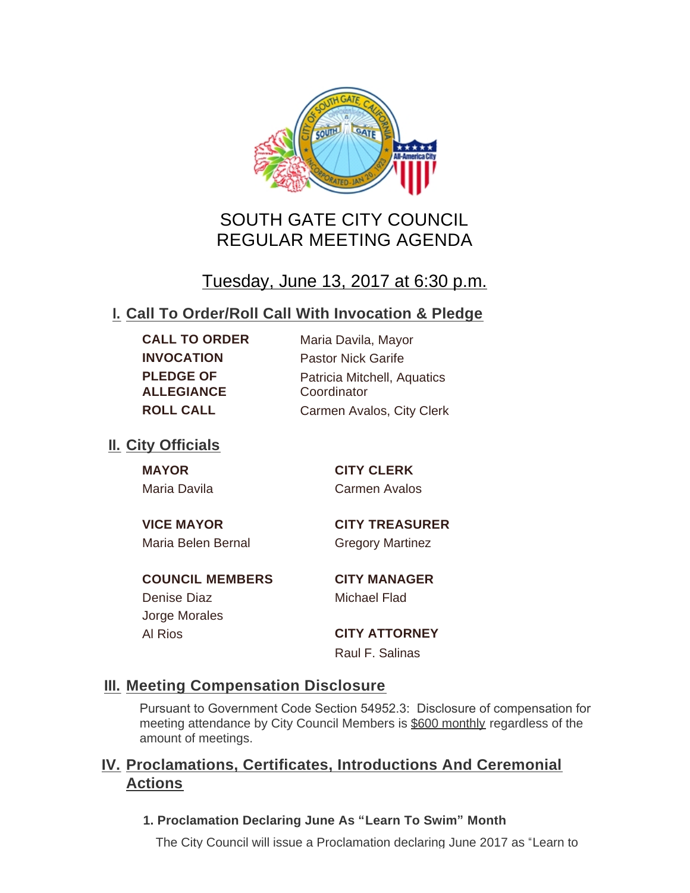

# SOUTH GATE CITY COUNCIL REGULAR MEETING AGENDA

# Tuesday, June 13, 2017 at 6:30 p.m.

## **Call To Order/Roll Call With Invocation & Pledge I.**

**PLEDGE OF ALLEGIANCE**

**CALL TO ORDER** Maria Davila, Mayor **INVOCATION** Pastor Nick Garife Patricia Mitchell, Aquatics **Coordinator ROLL CALL** Carmen Avalos, City Clerk

## **II.** City Officials

**MAYOR CITY CLERK** Maria Davila Carmen Avalos

**VICE MAYOR CITY TREASURER**

Maria Belen Bernal Gregory Martinez

**COUNCIL MEMBERS CITY MANAGER** Denise Diaz Michael Flad Jorge Morales

Al Rios **CITY ATTORNEY**

Raul F. Salinas

## **Meeting Compensation Disclosure III.**

Pursuant to Government Code Section 54952.3: Disclosure of compensation for meeting attendance by City Council Members is \$600 monthly regardless of the amount of meetings.

## **Proclamations, Certificates, Introductions And Ceremonial IV. Actions**

**1. Proclamation Declaring June As "Learn To Swim" Month**

The City Council will issue a Proclamation declaring June 2017 as "Learn to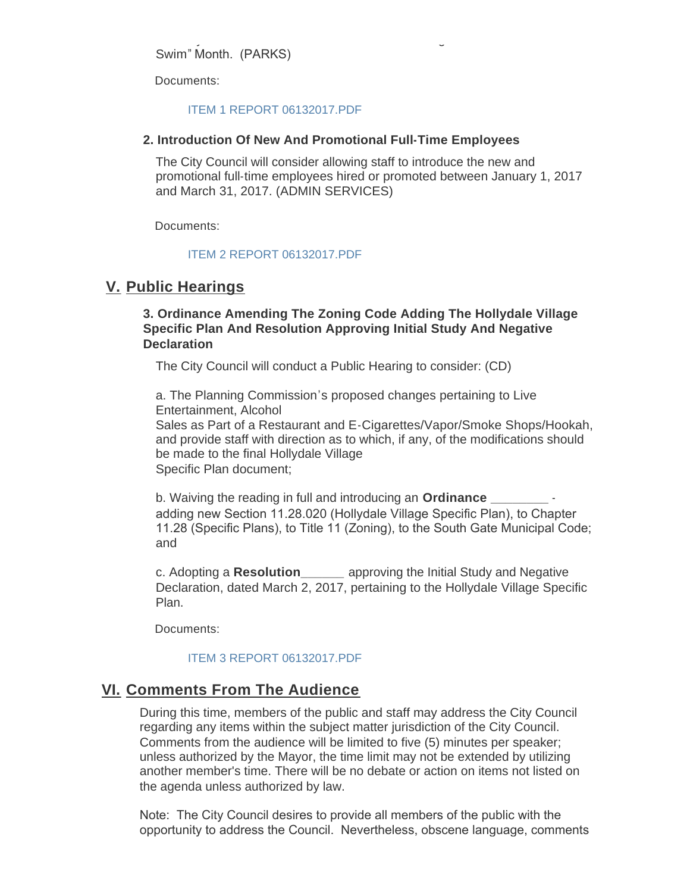The City Council will issue a Proclamation declaring June 2017 as "Learn to Swim" Month. (PARKS)

Documents:

#### [ITEM 1 REPORT 06132017.PDF](http://cityofsouthgate.org/AgendaCenter/ViewFile/Item/4351?fileID=9992)

#### **2. Introduction Of New And Promotional Full-Time Employees**

The City Council will consider allowing staff to introduce the new and promotional full-time employees hired or promoted between January 1, 2017 and March 31, 2017. (ADMIN SERVICES)

Documents:

#### [ITEM 2 REPORT 06132017.PDF](http://cityofsouthgate.org/AgendaCenter/ViewFile/Item/4352?fileID=9993)

## **Public Hearings V.**

### **3. Ordinance Amending The Zoning Code Adding The Hollydale Village Specific Plan And Resolution Approving Initial Study And Negative Declaration**

The City Council will conduct a Public Hearing to consider: (CD)

a. The Planning Commission's proposed changes pertaining to Live Entertainment, Alcohol

Sales as Part of a Restaurant and E-Cigarettes/Vapor/Smoke Shops/Hookah, and provide staff with direction as to which, if any, of the modifications should be made to the final Hollydale Village Specific Plan document;

b. Waiving the reading in full and introducing an **Ordinance** adding new Section 11.28.020 (Hollydale Village Specific Plan), to Chapter 11.28 (Specific Plans), to Title 11 (Zoning), to the South Gate Municipal Code; and

c. Adopting a **Resolution\_\_\_\_\_\_** approving the Initial Study and Negative Declaration, dated March 2, 2017, pertaining to the Hollydale Village Specific Plan.

Documents:

### [ITEM 3 REPORT 06132017.PDF](http://cityofsouthgate.org/AgendaCenter/ViewFile/Item/4400?fileID=10027)

## **Comments From The Audience VI.**

During this time, members of the public and staff may address the City Council regarding any items within the subject matter jurisdiction of the City Council. Comments from the audience will be limited to five (5) minutes per speaker; unless authorized by the Mayor, the time limit may not be extended by utilizing another member's time. There will be no debate or action on items not listed on the agenda unless authorized by law.

Note: The City Council desires to provide all members of the public with the opportunity to address the Council. Nevertheless, obscene language, comments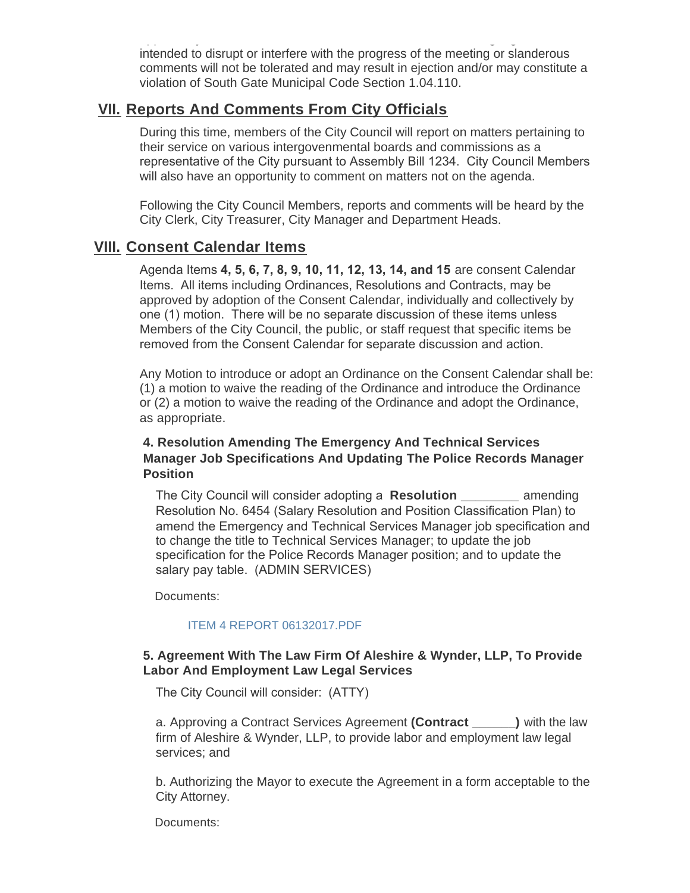opportunity to address the Council. Nevertheless, obscene language, comments intended to disrupt or interfere with the progress of the meeting or slanderous comments will not be tolerated and may result in ejection and/or may constitute a violation of South Gate Municipal Code Section 1.04.110.

## **Reports And Comments From City Officials VII.**

During this time, members of the City Council will report on matters pertaining to their service on various intergovenmental boards and commissions as a representative of the City pursuant to Assembly Bill 1234. City Council Members will also have an opportunity to comment on matters not on the agenda.

Following the City Council Members, reports and comments will be heard by the City Clerk, City Treasurer, City Manager and Department Heads.

## **Consent Calendar Items VIII.**

Agenda Items **4, 5, 6, 7, 8, 9, 10, 11, 12, 13, 14, and 15** are consent Calendar Items. All items including Ordinances, Resolutions and Contracts, may be approved by adoption of the Consent Calendar, individually and collectively by one (1) motion. There will be no separate discussion of these items unless Members of the City Council, the public, or staff request that specific items be removed from the Consent Calendar for separate discussion and action.

Any Motion to introduce or adopt an Ordinance on the Consent Calendar shall be: (1) a motion to waive the reading of the Ordinance and introduce the Ordinance or (2) a motion to waive the reading of the Ordinance and adopt the Ordinance, as appropriate.

## **4. Resolution Amending The Emergency And Technical Services Manager Job Specifications And Updating The Police Records Manager Position**

The City Council will consider adopting a **Resolution \_\_\_\_\_\_\_\_** amending Resolution No. 6454 (Salary Resolution and Position Classification Plan) to amend the Emergency and Technical Services Manager job specification and to change the title to Technical Services Manager; to update the job specification for the Police Records Manager position; and to update the salary pay table. (ADMIN SERVICES)

Documents:

#### [ITEM 4 REPORT 06132017.PDF](http://cityofsouthgate.org/AgendaCenter/ViewFile/Item/4413?fileID=10032)

## **5. Agreement With The Law Firm Of Aleshire & Wynder, LLP, To Provide Labor And Employment Law Legal Services**

The City Council will consider: (ATTY)

a. Approving a Contract Services Agreement **(Contract \_\_\_\_\_\_)** with the law firm of Aleshire & Wynder, LLP, to provide labor and employment law legal services; and

b. Authorizing the Mayor to execute the Agreement in a form acceptable to the City Attorney.

Documents: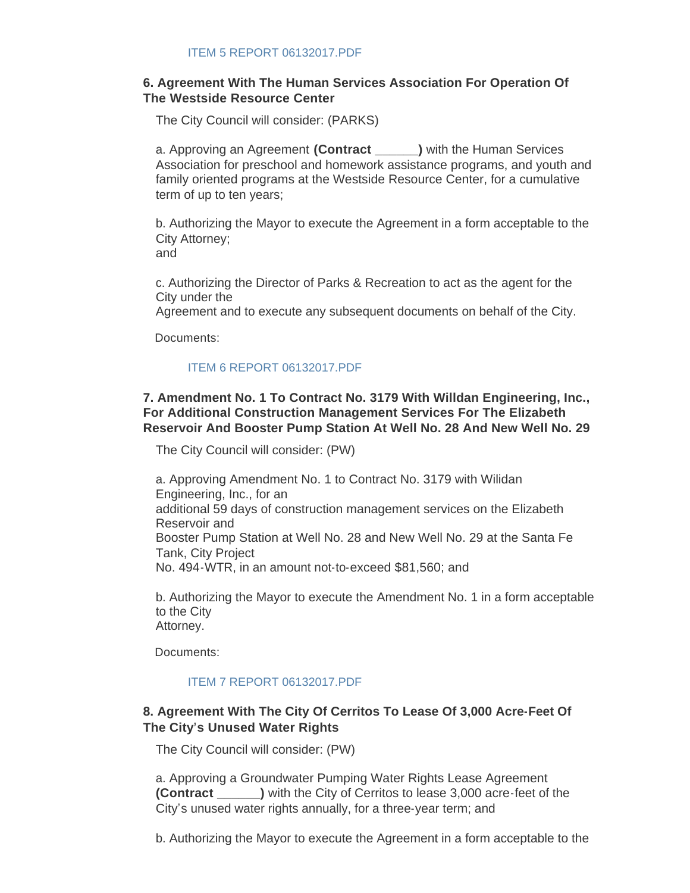### **6. Agreement With The Human Services Association For Operation Of The Westside Resource Center**

The City Council will consider: (PARKS)

a. Approving an Agreement **(Contract \_\_\_\_\_\_)** with the Human Services Association for preschool and homework assistance programs, and youth and family oriented programs at the Westside Resource Center, for a cumulative term of up to ten years;

b. Authorizing the Mayor to execute the Agreement in a form acceptable to the City Attorney; and

c. Authorizing the Director of Parks & Recreation to act as the agent for the City under the

Agreement and to execute any subsequent documents on behalf of the City.

Documents:

#### [ITEM 6 REPORT 06132017.PDF](http://cityofsouthgate.org/AgendaCenter/ViewFile/Item/4353?fileID=9994)

### **7. Amendment No. 1 To Contract No. 3179 With Willdan Engineering, Inc., For Additional Construction Management Services For The Elizabeth Reservoir And Booster Pump Station At Well No. 28 And New Well No. 29**

The City Council will consider: (PW)

a. Approving Amendment No. 1 to Contract No. 3179 with Wilidan Engineering, Inc., for an additional 59 days of construction management services on the Elizabeth Reservoir and Booster Pump Station at Well No. 28 and New Well No. 29 at the Santa Fe Tank, City Project No. 494-WTR, in an amount not-to-exceed \$81,560; and

b. Authorizing the Mayor to execute the Amendment No. 1 in a form acceptable to the City Attorney.

Documents:

### [ITEM 7 REPORT 06132017.PDF](http://cityofsouthgate.org/AgendaCenter/ViewFile/Item/4395?fileID=10022)

## **8. Agreement With The City Of Cerritos To Lease Of 3,000 Acre-Feet Of The City's Unused Water Rights**

The City Council will consider: (PW)

a. Approving a Groundwater Pumping Water Rights Lease Agreement **(Contract \_\_\_\_\_\_)** with the City of Cerritos to lease 3,000 acre-feet of the City's unused water rights annually, for a three-year term; and

b. Authorizing the Mayor to execute the Agreement in a form acceptable to the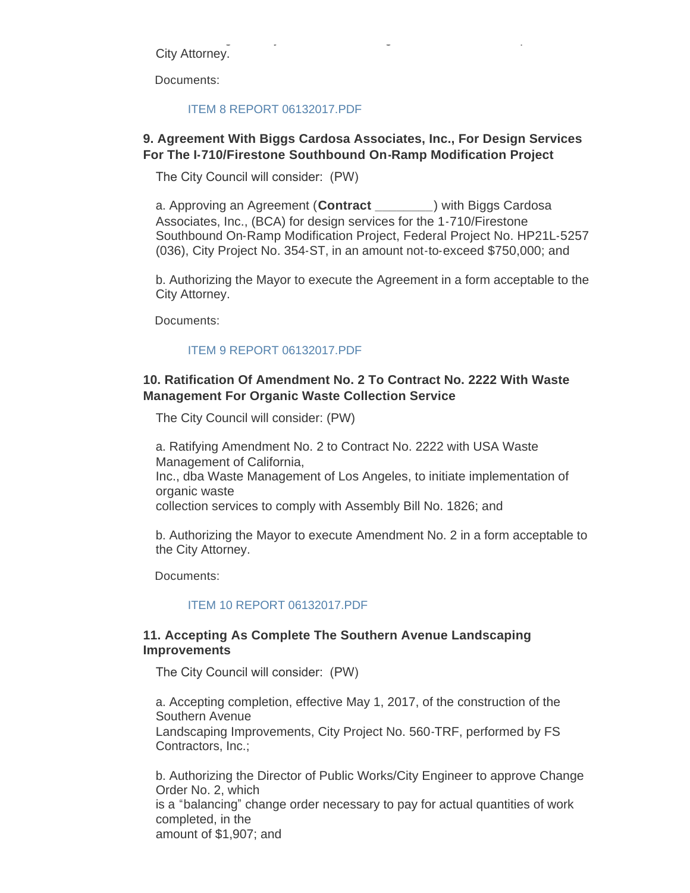b. Authorizing the Mayor to execute the Agreement in a form acceptable to the City Attorney.

Documents:

#### [ITEM 8 REPORT 06132017.PDF](http://cityofsouthgate.org/AgendaCenter/ViewFile/Item/4396?fileID=10023)

#### **9. Agreement With Biggs Cardosa Associates, Inc., For Design Services For The I-710/Firestone Southbound On-Ramp Modification Project**

The City Council will consider: (PW)

a. Approving an Agreement (**Contract \_\_\_\_\_\_\_\_**) with Biggs Cardosa Associates, Inc., (BCA) for design services for the 1-710/Firestone Southbound On-Ramp Modification Project, Federal Project No. HP21L-5257 (036), City Project No. 354-ST, in an amount not-to-exceed \$750,000; and

b. Authorizing the Mayor to execute the Agreement in a form acceptable to the City Attorney.

Documents:

#### [ITEM 9 REPORT 06132017.PDF](http://cityofsouthgate.org/AgendaCenter/ViewFile/Item/4401?fileID=10028)

### **10. Ratification Of Amendment No. 2 To Contract No. 2222 With Waste Management For Organic Waste Collection Service**

The City Council will consider: (PW)

a. Ratifying Amendment No. 2 to Contract No. 2222 with USA Waste Management of California, Inc., dba Waste Management of Los Angeles, to initiate implementation of organic waste collection services to comply with Assembly Bill No. 1826; and

b. Authorizing the Mayor to execute Amendment No. 2 in a form acceptable to the City Attorney.

Documents:

#### [ITEM 10 REPORT 06132017.PDF](http://cityofsouthgate.org/AgendaCenter/ViewFile/Item/4397?fileID=10024)

#### **11. Accepting As Complete The Southern Avenue Landscaping Improvements**

The City Council will consider: (PW)

a. Accepting completion, effective May 1, 2017, of the construction of the Southern Avenue Landscaping Improvements, City Project No. 560-TRF, performed by FS Contractors, Inc.;

b. Authorizing the Director of Public Works/City Engineer to approve Change Order No. 2, which is a "balancing" change order necessary to pay for actual quantities of work completed, in the amount of \$1,907; and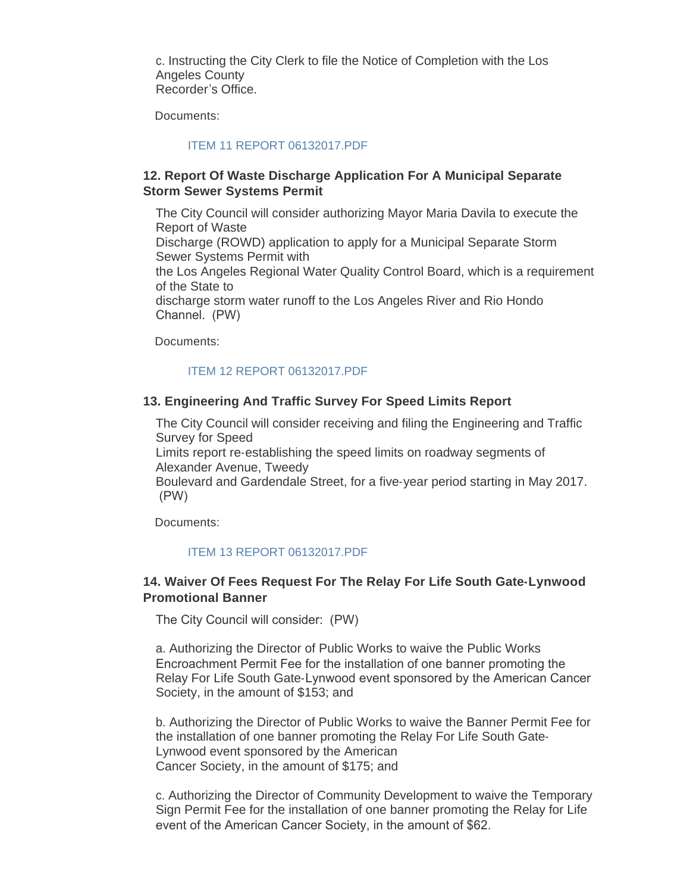c. Instructing the City Clerk to file the Notice of Completion with the Los Angeles County Recorder's Office.

Documents:

#### [ITEM 11 REPORT 06132017.PDF](http://cityofsouthgate.org/AgendaCenter/ViewFile/Item/4398?fileID=10025)

#### **12. Report Of Waste Discharge Application For A Municipal Separate Storm Sewer Systems Permit**

The City Council will consider authorizing Mayor Maria Davila to execute the Report of Waste Discharge (ROWD) application to apply for a Municipal Separate Storm Sewer Systems Permit with the Los Angeles Regional Water Quality Control Board, which is a requirement of the State to discharge storm water runoff to the Los Angeles River and Rio Hondo Channel. (PW)

Documents:

#### [ITEM 12 REPORT 06132017.PDF](http://cityofsouthgate.org/AgendaCenter/ViewFile/Item/4399?fileID=10026)

#### **13. Engineering And Traffic Survey For Speed Limits Report**

The City Council will consider receiving and filing the Engineering and Traffic Survey for Speed

Limits report re-establishing the speed limits on roadway segments of Alexander Avenue, Tweedy

Boulevard and Gardendale Street, for a five-year period starting in May 2017. (PW)

Documents:

#### [ITEM 13 REPORT 06132017.PDF](http://cityofsouthgate.org/AgendaCenter/ViewFile/Item/4402?fileID=10029)

## **14. Waiver Of Fees Request For The Relay For Life South Gate-Lynwood Promotional Banner**

The City Council will consider: (PW)

a. Authorizing the Director of Public Works to waive the Public Works Encroachment Permit Fee for the installation of one banner promoting the Relay For Life South Gate-Lynwood event sponsored by the American Cancer Society, in the amount of \$153; and

b. Authorizing the Director of Public Works to waive the Banner Permit Fee for the installation of one banner promoting the Relay For Life South Gate-Lynwood event sponsored by the American Cancer Society, in the amount of \$175; and

c. Authorizing the Director of Community Development to waive the Temporary Sign Permit Fee for the installation of one banner promoting the Relay for Life event of the American Cancer Society, in the amount of \$62.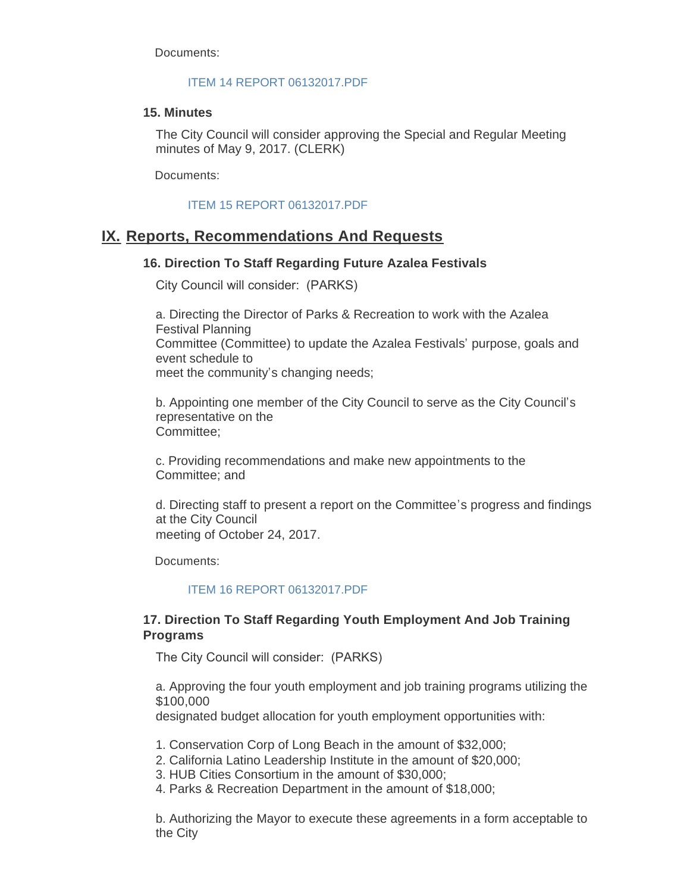Documents:

#### [ITEM 14 REPORT 06132017.PDF](http://cityofsouthgate.org/AgendaCenter/ViewFile/Item/4403?fileID=10030)

#### **15. Minutes**

The City Council will consider approving the Special and Regular Meeting minutes of May 9, 2017. (CLERK)

Documents:

### [ITEM 15 REPORT 06132017.PDF](http://cityofsouthgate.org/AgendaCenter/ViewFile/Item/4354?fileID=9995)

## **Reports, Recommendations And Requests IX.**

## **16. Direction To Staff Regarding Future Azalea Festivals**

City Council will consider: (PARKS)

a. Directing the Director of Parks & Recreation to work with the Azalea Festival Planning Committee (Committee) to update the Azalea Festivals' purpose, goals and event schedule to meet the community's changing needs;

b. Appointing one member of the City Council to serve as the City Council's representative on the Committee;

c. Providing recommendations and make new appointments to the Committee; and

d. Directing staff to present a report on the Committee's progress and findings at the City Council meeting of October 24, 2017.

Documents:

### [ITEM 16 REPORT 06132017.PDF](http://cityofsouthgate.org/AgendaCenter/ViewFile/Item/4414?fileID=10033)

## **17. Direction To Staff Regarding Youth Employment And Job Training Programs**

The City Council will consider: (PARKS)

a. Approving the four youth employment and job training programs utilizing the \$100,000

designated budget allocation for youth employment opportunities with:

1. Conservation Corp of Long Beach in the amount of \$32,000;

2. California Latino Leadership Institute in the amount of \$20,000;

3. HUB Cities Consortium in the amount of \$30,000;

4. Parks & Recreation Department in the amount of \$18,000;

b. Authorizing the Mayor to execute these agreements in a form acceptable to the City